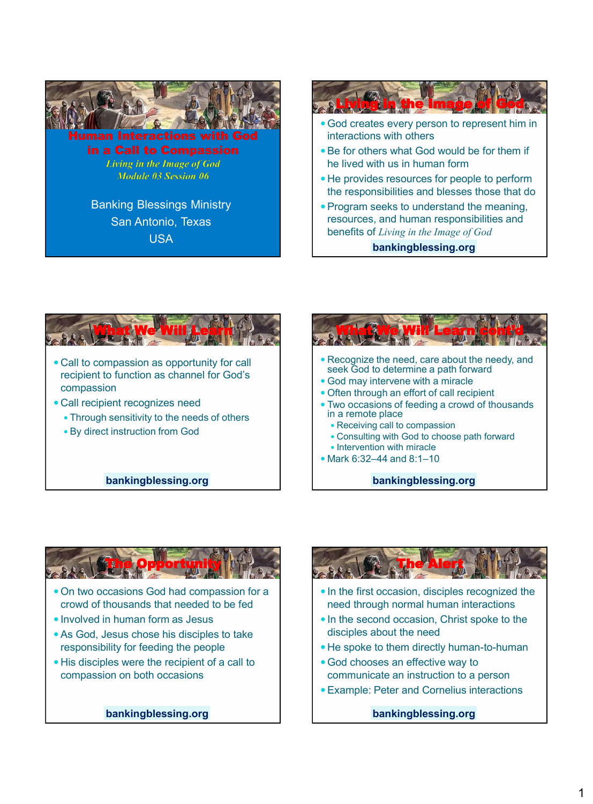



What We Will Learn cont'd Recognize the need, care about the needy, and seek God to determine a path forward God may intervene with a miracle Often through an effort of call recipient Two occasions of feeding a crowd of thousands in a remote place Receiving call to compassion Consulting with God to choose path forward  $\bullet$  Intervention with miracle Mark 6:32–44 and 8:1–10 **bankingblessing.org**

**bankingblessing.org**



- responsibility for feeding the people
- His disciples were the recipient of a call to compassion on both occasions

**bankingblessing.org**



- In the first occasion, disciples recognized the need through normal human interactions
- In the second occasion, Christ spoke to the disciples about the need
- He spoke to them directly human-to-human
- God chooses an effective way to communicate an instruction to a person
- Example: Peter and Cornelius interactions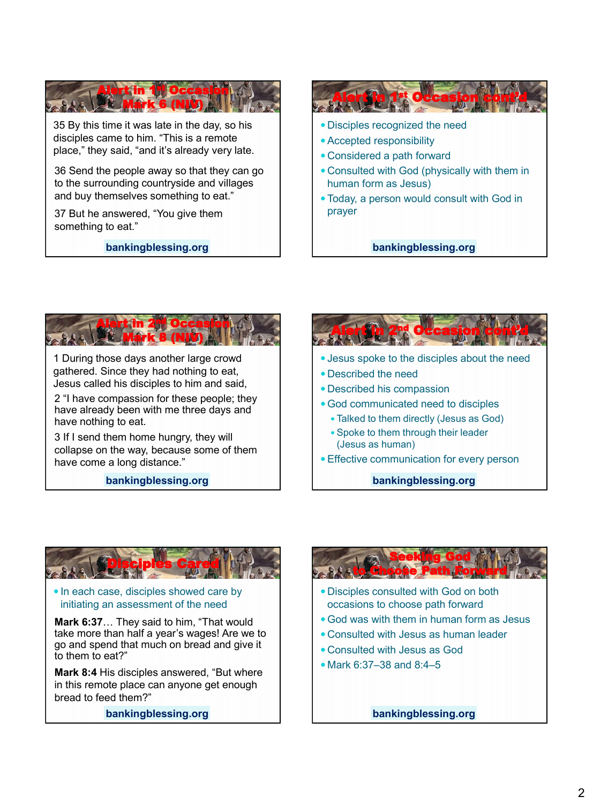

35 By this time it was late in the day, so his disciples came to him. "This is a remote place," they said, "and it's already very late.

36 Send the people away so that they can go to the surrounding countryside and villages and buy themselves something to eat."

37 But he answered, "You give them something to eat."

**bankingblessing.org**



Today, a person would consult with God in prayer

**bankingblessing.org**



1 During those days another large crowd gathered. Since they had nothing to eat, Jesus called his disciples to him and said,

2 "I have compassion for these people; they have already been with me three days and have nothing to eat.

3 If I send them home hungry, they will collapse on the way, because some of them have come a long distance."

**bankingblessing.org**





#### • In each case, disciples showed care by initiating an assessment of the need

**Mark 6:37**… They said to him, "That would take more than half a year's wages! Are we to go and spend that much on bread and give it to them to eat?"

**Mark 8:4** His disciples answered, "But where in this remote place can anyone get enough bread to feed them?"

**bankingblessing.org**



- Disciples consulted with God on both occasions to choose path forward
- God was with them in human form as Jesus
- Consulted with Jesus as human leader
- Consulted with Jesus as God
- Mark 6:37–38 and 8:4–5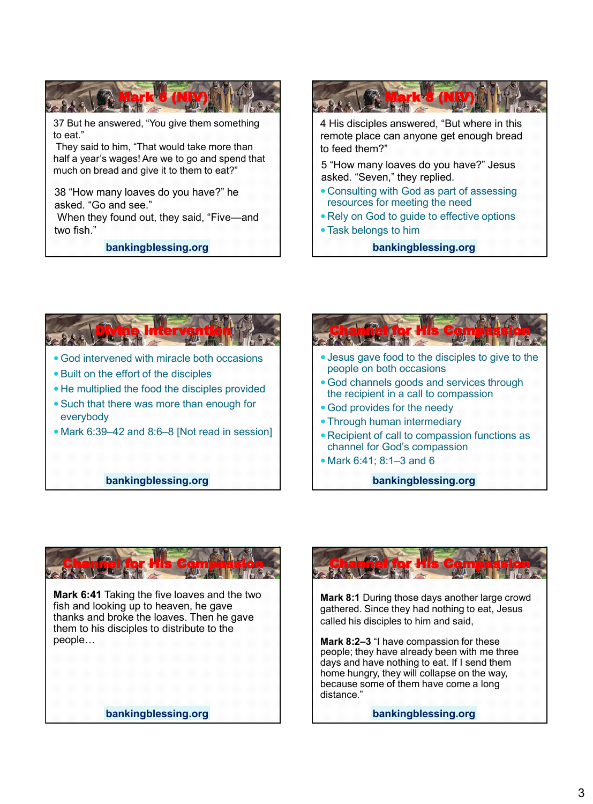



**bankingblessing.org**







**Mark 6:41** Taking the five loaves and the two fish and looking up to heaven, he gave thanks and broke the loaves. Then he gave them to his disciples to distribute to the people…

**bankingblessing.org**



**Mark 8:1** During those days another large crowd gathered. Since they had nothing to eat, Jesus called his disciples to him and said,

**Mark 8:2–3** "I have compassion for these people; they have already been with me three days and have nothing to eat. If I send them home hungry, they will collapse on the way, because some of them have come a long distance."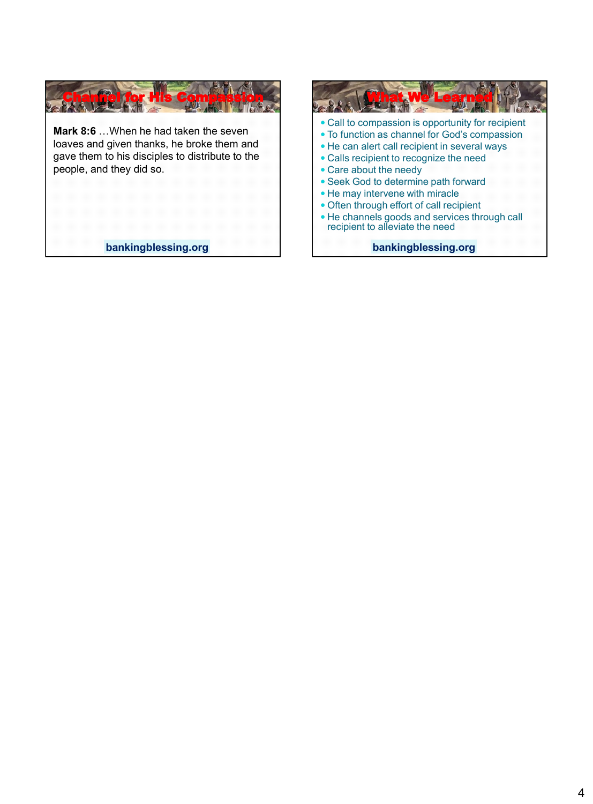

**Mark 8:6** …When he had taken the seven loaves and given thanks, he broke them and gave them to his disciples to distribute to the people, and they did so.

**bankingblessing.org**

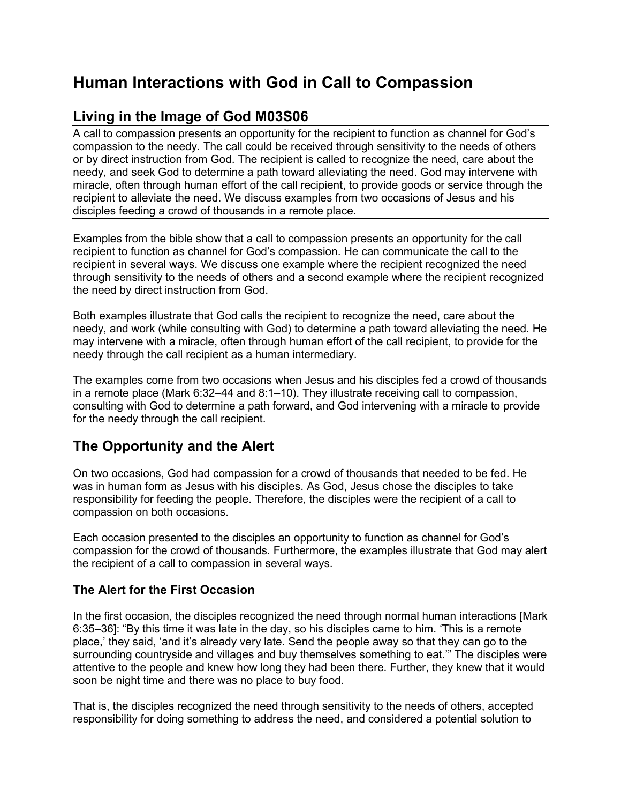# **Human Interactions with God in Call to Compassion**

## **Living in the Image of God M03S06**

A call to compassion presents an opportunity for the recipient to function as channel for God's compassion to the needy. The call could be received through sensitivity to the needs of others or by direct instruction from God. The recipient is called to recognize the need, care about the needy, and seek God to determine a path toward alleviating the need. God may intervene with miracle, often through human effort of the call recipient, to provide goods or service through the recipient to alleviate the need. We discuss examples from two occasions of Jesus and his disciples feeding a crowd of thousands in a remote place.

Examples from the bible show that a call to compassion presents an opportunity for the call recipient to function as channel for God's compassion. He can communicate the call to the recipient in several ways. We discuss one example where the recipient recognized the need through sensitivity to the needs of others and a second example where the recipient recognized the need by direct instruction from God.

Both examples illustrate that God calls the recipient to recognize the need, care about the needy, and work (while consulting with God) to determine a path toward alleviating the need. He may intervene with a miracle, often through human effort of the call recipient, to provide for the needy through the call recipient as a human intermediary.

The examples come from two occasions when Jesus and his disciples fed a crowd of thousands in a remote place (Mark 6:32–44 and 8:1–10). They illustrate receiving call to compassion, consulting with God to determine a path forward, and God intervening with a miracle to provide for the needy through the call recipient.

### **The Opportunity and the Alert**

On two occasions, God had compassion for a crowd of thousands that needed to be fed. He was in human form as Jesus with his disciples. As God, Jesus chose the disciples to take responsibility for feeding the people. Therefore, the disciples were the recipient of a call to compassion on both occasions.

Each occasion presented to the disciples an opportunity to function as channel for God's compassion for the crowd of thousands. Furthermore, the examples illustrate that God may alert the recipient of a call to compassion in several ways.

### **The Alert for the First Occasion**

In the first occasion, the disciples recognized the need through normal human interactions [Mark 6:35–36]: "By this time it was late in the day, so his disciples came to him. 'This is a remote place,' they said, 'and it's already very late. Send the people away so that they can go to the surrounding countryside and villages and buy themselves something to eat.'" The disciples were attentive to the people and knew how long they had been there. Further, they knew that it would soon be night time and there was no place to buy food.

That is, the disciples recognized the need through sensitivity to the needs of others, accepted responsibility for doing something to address the need, and considered a potential solution to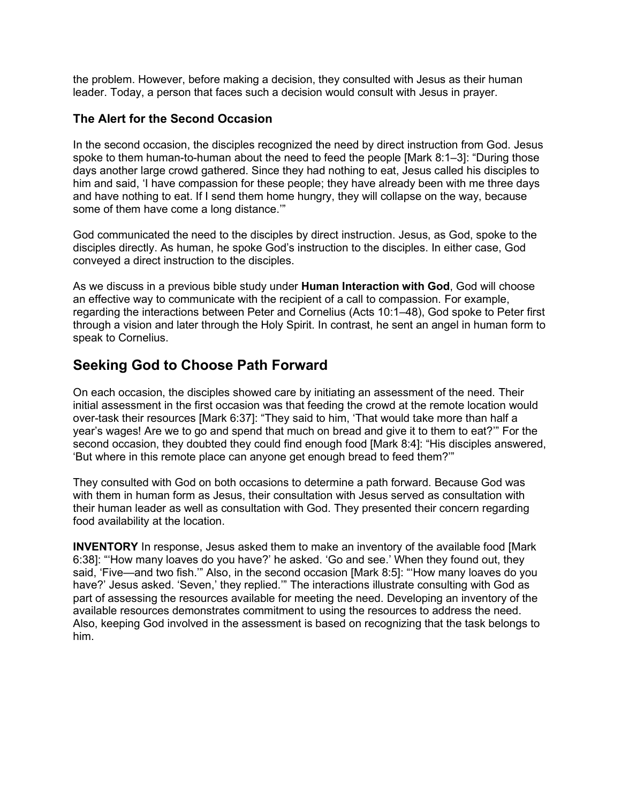the problem. However, before making a decision, they consulted with Jesus as their human leader. Today, a person that faces such a decision would consult with Jesus in prayer.

#### **The Alert for the Second Occasion**

In the second occasion, the disciples recognized the need by direct instruction from God. Jesus spoke to them human-to-human about the need to feed the people [Mark 8:1–3]: "During those days another large crowd gathered. Since they had nothing to eat, Jesus called his disciples to him and said, 'I have compassion for these people; they have already been with me three days and have nothing to eat. If I send them home hungry, they will collapse on the way, because some of them have come a long distance.'"

God communicated the need to the disciples by direct instruction. Jesus, as God, spoke to the disciples directly. As human, he spoke God's instruction to the disciples. In either case, God conveyed a direct instruction to the disciples.

As we discuss in a previous bible study under **Human Interaction with God**, God will choose an effective way to communicate with the recipient of a call to compassion. For example, regarding the interactions between Peter and Cornelius (Acts 10:1–48), God spoke to Peter first through a vision and later through the Holy Spirit. In contrast, he sent an angel in human form to speak to Cornelius.

### **Seeking God to Choose Path Forward**

On each occasion, the disciples showed care by initiating an assessment of the need. Their initial assessment in the first occasion was that feeding the crowd at the remote location would over-task their resources [Mark 6:37]: "They said to him, 'That would take more than half a year's wages! Are we to go and spend that much on bread and give it to them to eat?'" For the second occasion, they doubted they could find enough food [Mark 8:4]: "His disciples answered, 'But where in this remote place can anyone get enough bread to feed them?'"

They consulted with God on both occasions to determine a path forward. Because God was with them in human form as Jesus, their consultation with Jesus served as consultation with their human leader as well as consultation with God. They presented their concern regarding food availability at the location.

**INVENTORY** In response, Jesus asked them to make an inventory of the available food [Mark 6:38]: "'How many loaves do you have?' he asked. 'Go and see.' When they found out, they said, 'Five—and two fish.'" Also, in the second occasion [Mark 8:5]: "'How many loaves do you have?' Jesus asked. 'Seven,' they replied.'" The interactions illustrate consulting with God as part of assessing the resources available for meeting the need. Developing an inventory of the available resources demonstrates commitment to using the resources to address the need. Also, keeping God involved in the assessment is based on recognizing that the task belongs to him.